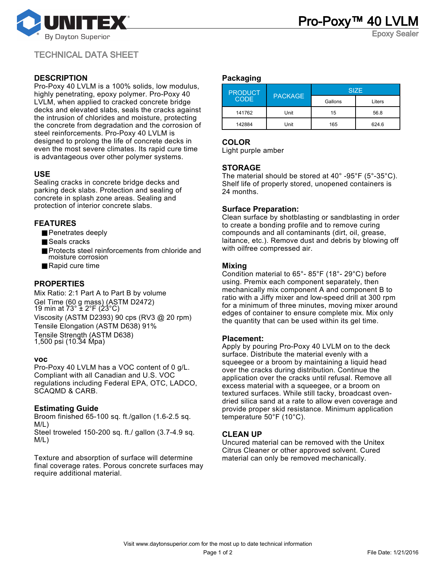

Epoxy Sealer

TECHNICAL DATA SHEET

# **DESCRIPTION**

Pro-Poxy 40 LVLM is a 100% solids, low modulus, highly penetrating, epoxy polymer. Pro-Poxy 40 LVLM, when applied to cracked concrete bridge decks and elevated slabs, seals the cracks against the intrusion of chlorides and moisture, protecting the concrete from degradation and the corrosion of steel reinforcements. Pro-Poxy 40 LVLM is designed to prolong the life of concrete decks in even the most severe climates. Its rapid cure time is advantageous over other polymer systems.

# **USE**

Sealing cracks in concrete bridge decks and parking deck slabs. Protection and sealing of concrete in splash zone areas. Sealing and protection of interior concrete slabs.

# **FEATURES**

- Penetrates deeply
- Seals cracks
- Protects steel reinforcements from chloride and moisture corrosion
- Rapid cure time

# **PROPERTIES**

Mix Ratio: 2:1 Part A to Part B by volume Gel Time (60 g mass) (ASTM D2472) 19 min at 73° ± 2°F (23°C) Viscosity (ASTM D2393) 90 cps (RV3 @ 20 rpm) Tensile Elongation (ASTM D638) 91% Tensile Strength (ASTM D638) 1,500 psi (10.34 Mpa)

#### **voc**

Pro-Poxy 40 LVLM has a VOC content of 0 g/L. Compliant with all Canadian and U.S. VOC regulations including Federal EPA, OTC, LADCO, SCAQMD & CARB.

## **Estimating Guide**

Broom finished 65-100 sq. ft./gallon (1.6-2.5 sq. M/L) Steel troweled 150-200 sq. ft./ gallon (3.7-4.9 sq. M/L)

Texture and absorption of surface will determine final coverage rates. Porous concrete surfaces may require additional material.

#### **Packaging**

| <b>PRODUCT</b><br><b>CODE</b> | <b>PACKAGE</b> | <b>SIZE</b> |        |
|-------------------------------|----------------|-------------|--------|
|                               |                | Gallons     | Liters |
| 141762                        | Unit           | 15          | 56.8   |
| 142884                        | Unit           | 165         | 624.6  |

# **COLOR**

Light purple amber

## **STORAGE**

The material should be stored at 40° -95°F (5°-35°C). Shelf life of properly stored, unopened containers is 24 months.

## **Surface Preparation:**

Clean surface by shotblasting or sandblasting in order to create a bonding profile and to remove curing compounds and all contaminants (dirt, oil, grease, laitance, etc.). Remove dust and debris by blowing off with oilfree compressed air.

## **Mixing**

Condition material to 65°- 85°F (18°- 29°C) before using. Premix each component separately, then mechanically mix component A and component B to ratio with a Jiffy mixer and low-speed drill at 300 rpm for a minimum of three minutes, moving mixer around edges of container to ensure complete mix. Mix only the quantity that can be used within its gel time.

#### **Placement:**

Apply by pouring Pro-Poxy 40 LVLM on to the deck surface. Distribute the material evenly with a squeegee or a broom by maintaining a liquid head over the cracks during distribution. Continue the application over the cracks until refusal. Remove all excess material with a squeegee, or a broom on textured surfaces. While still tacky, broadcast ovendried silica sand at a rate to allow even coverage and provide proper skid resistance. Minimum application temperature 50°F (10°C).

## **CLEAN UP**

Uncured material can be removed with the Unitex Citrus Cleaner or other approved solvent. Cured material can only be removed mechanically.